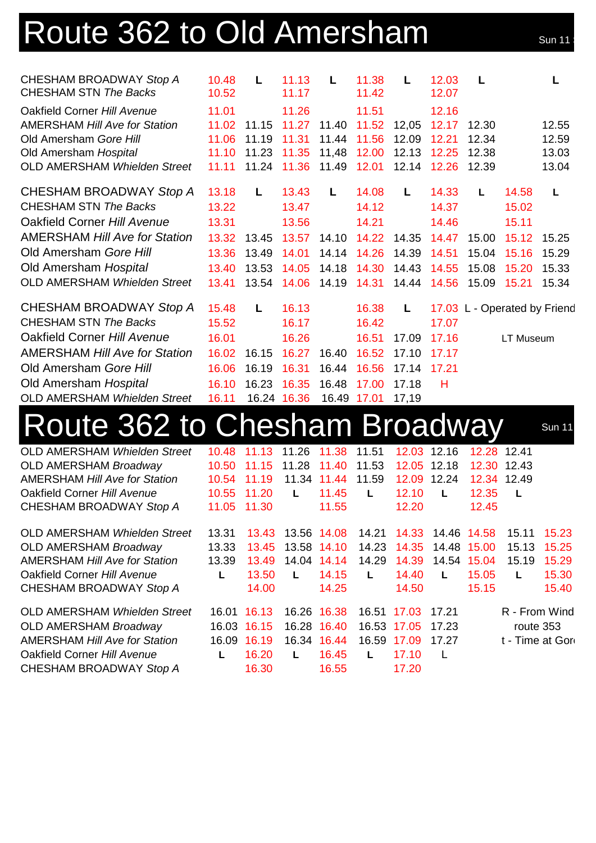## Route 362 to Old Amersham Sun 11

| CHESHAM BROADWAY Stop A<br><b>CHESHAM STN The Backs</b> | 10.48<br>10.52 | L           | 11.13<br>11.17 | L     | 11.38<br>11.42 | L     | 12.03<br>12.07 | L     |           |                              |
|---------------------------------------------------------|----------------|-------------|----------------|-------|----------------|-------|----------------|-------|-----------|------------------------------|
| Oakfield Corner Hill Avenue                             | 11.01          |             | 11.26          |       | 11.51          |       | 12.16          |       |           |                              |
| <b>AMERSHAM Hill Ave for Station</b>                    |                | 11.02 11.15 | 11.27          | 11.40 | 11.52          | 12,05 | 12.17          | 12.30 |           | 12.55                        |
| Old Amersham Gore Hill                                  | 11.06          | 11.19       | 11.31          | 11.44 | 11.56          | 12.09 | 12.21          | 12.34 |           | 12.59                        |
| Old Amersham Hospital                                   | 11.10          | 11.23       | 11.35          | 11,48 | 12.00          | 12.13 | 12.25          | 12.38 |           | 13.03                        |
| OLD AMERSHAM Whielden Street                            | 11.11          | 11.24       | 11.36          | 11.49 | 12.01          | 12.14 | 12.26          | 12.39 |           | 13.04                        |
| CHESHAM BROADWAY Stop A                                 | 13.18          | L.          | 13.43          | L.    | 14.08          | L.    | 14.33          | L     | 14.58     | L                            |
| <b>CHESHAM STN The Backs</b>                            | 13.22          |             | 13.47          |       | 14.12          |       | 14.37          |       | 15.02     |                              |
| Oakfield Corner Hill Avenue                             | 13.31          |             | 13.56          |       | 14.21          |       | 14.46          |       | 15.11     |                              |
| <b>AMERSHAM Hill Ave for Station</b>                    | 13.32          | 13.45       | 13.57          | 14.10 | 14.22          | 14.35 | 14.47          | 15.00 | 15.12     | 15.25                        |
| Old Amersham Gore Hill                                  | 13.36          | 13.49       | 14.01          | 14.14 | 14.26          | 14.39 | 14.51          | 15.04 | 15.16     | 15.29                        |
| Old Amersham Hospital                                   | 13.40          | 13.53       | 14.05          | 14.18 | 14.30          | 14.43 | 14.55          | 15.08 | 15.20     | 15.33                        |
| <b>OLD AMERSHAM Whielden Street</b>                     | 13.41          | 13.54       | 14.06          | 14.19 | 14.31          | 14.44 | 14.56          | 15.09 | 15.21     | 15.34                        |
| CHESHAM BROADWAY Stop A                                 | 15.48          | L           | 16.13          |       | 16.38          | L     |                |       |           | 17.03 L - Operated by Friend |
| <b>CHESHAM STN The Backs</b>                            | 15.52          |             | 16.17          |       | 16.42          |       | 17.07          |       |           |                              |
| Oakfield Corner Hill Avenue                             | 16.01          |             | 16.26          |       | 16.51          | 17.09 | 17.16          |       | LT Museum |                              |
| <b>AMERSHAM Hill Ave for Station</b>                    | 16.02          | 16.15       | 16.27          | 16.40 | 16.52          | 17.10 | 17.17          |       |           |                              |
| Old Amersham Gore Hill                                  | 16.06          | 16.19       | 16.31          | 16.44 | 16.56          | 17.14 | 17.21          |       |           |                              |
| Old Amersham Hospital                                   | 16.10          | 16.23       | 16.35          | 16.48 | 17.00          | 17.18 | н              |       |           |                              |
| <b>OLD AMERSHAM Whielden Street</b>                     | 16.11          |             | 16.24 16.36    |       | 16.49 17.01    | 17,19 |                |       |           |                              |

## Route 362 to Chesham Broadway Sun 11

OLD AMERSHAM *Whielden Street* 10.48 11.13 11.26 11.38 11.51 12.03 12.16 12.28 12.41 OLD AMERSHAM *Broadway* 10.50 11.15 11.28 11.40 11.53 12.05 12.18 12.30 12.43 AMERSHAM *Hill Ave for Station* 10.54 11.19 11.34 11.44 11.59 12.09 12.24 12.34 12.49 Oakfield Corner *Hill Avenue* 10.55 11.20 **L** 11.45 **L** 12.10 **L** 12.35 **L** CHESHAM BROADWAY *Stop A* 11.05 11.30 11.55 12.20 12.45 OLD AMERSHAM *Whielden Street* 13.31 13.43 13.56 14.08 14.21 14.33 14.46 14.58 15.11 15.23 OLD AMERSHAM *Broadway* 13.33 13.45 13.58 14.10 14.23 14.35 14.48 15.00 15.13 15.25 AMERSHAM *Hill Ave for Station* 13.39 13.49 14.04 14.14 14.29 14.39 14.54 15.04 15.19 15.29 Oakfield Corner *Hill Avenue* **L** 13.50 **L** 14.15 **L** 14.40 **L** 15.05 **L** 15.30 CHESHAM BROADWAY *Stop A* 14.00 14.25 14.50 15.15 15.40 OLD AMERSHAM *Whielden Street* 16.01 16.13 16.26 16.38 16.51 17.03 17.21 R - From Wind OLD AMERSHAM *Broadway* 16.03 16.15 16.28 16.40 16.53 17.05 17.23 route 353 AMERSHAM *Hill Ave for Station* 16.09 16.19 16.34 16.44 16.59 17.09 17.27 t - Time at Gore Oakfield Corner *Hill Avenue* **L** 16.20 **L** 16.45 **L** 17.10 L CHESHAM BROADWAY *Stop A* 16.30 16.55 17.20